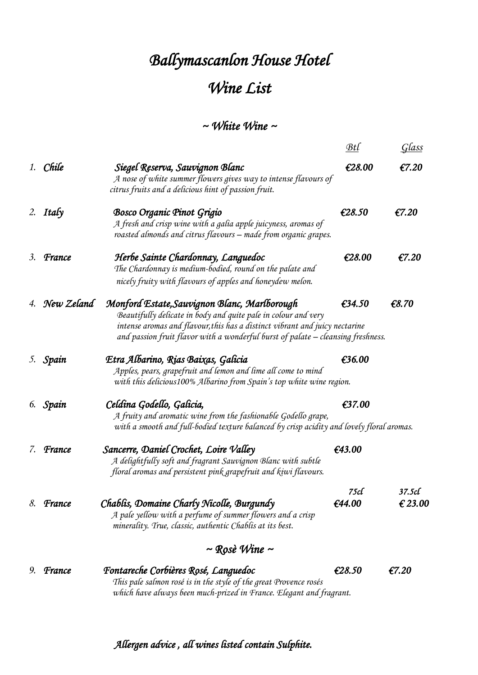## *Ballymascanlon House Hotel Wine List*

## *~ White Wine ~*

|    |                         |                                                                                                                                                                                                                                                                                   | Btl            | Glass             |  |  |
|----|-------------------------|-----------------------------------------------------------------------------------------------------------------------------------------------------------------------------------------------------------------------------------------------------------------------------------|----------------|-------------------|--|--|
|    | 1. Chile                | Siegel Reserva, Sauvignon Blanc<br>A nose of white summer flowers gives way to intense flavours of<br>citrus fruits and a delicious hint of passion fruit.                                                                                                                        | £28.00         | E7.20             |  |  |
|    | 2. Italy                | <b>Bosco Organic Pinot Grigio</b><br>A fresh and crisp wine with a galia apple juicyness, aromas of<br>roasted almonds and citrus flavours - made from organic grapes.                                                                                                            | £28.50         | €7.20             |  |  |
| 3. | France                  | Herbe Sainte Chardonnay, Languedoc<br>The Chardonnay is medium-bodied, round on the palate and<br>nicely fruity with flavours of apples and honeydew melon.                                                                                                                       | £28.00         | €7.20             |  |  |
|    | 4. New Zeland           | Monford Estate, Sauvignon Blanc, Marlborough<br>Beautifully delicate in body and quite pale in colour and very<br>intense aromas and flavour, this has a distinct vibrant and juicy nectarine<br>and passion fruit flavor with a wonderful burst of palate – cleansing freshness. | £34.50         | € $8.70$          |  |  |
|    | 5. Spain                | Etra Albarino, Rias Baixas, Galicia<br>Apples, pears, grapefruit and lemon and lime all come to mind<br>with this delicious100% Albarino from Spain's top white wine region.                                                                                                      | £36.00         |                   |  |  |
|    | 6. Spain                | Celdina Godello, Galicia,<br>A fruity and aromatic wine from the fashionable Godello grape,<br>with a smooth and full-bodied texture balanced by crisp acidity and lovely floral aromas.                                                                                          | £37.00         |                   |  |  |
| 7. | France                  | Sancerre, Daniel Crochet, Loire Valley<br>A delightfully soft and fragrant Sauvignon Blanc with subtle<br>floral aromas and persistent pink grapefruit and kiwi flavours.                                                                                                         | £43.00         |                   |  |  |
| 8. | France                  | Chablis, Domaine Charly Nicolle, Burgundy<br>A pale yellow with a perfume of summer flowers and a crisp<br>minerality. True, classic, authentic Chablis at its best.                                                                                                              | 75cl<br>£44.00 | 37.5cl<br>€ 23.00 |  |  |
|    | $\sim$ Rosè Wine $\sim$ |                                                                                                                                                                                                                                                                                   |                |                   |  |  |
| 9. | France                  | Fontareche Corbières Rosé, Languedoc<br>This pale salmon rosé is in the style of the great Provence rosés<br>which have always been much-prized in France. Elegant and fragrant.                                                                                                  | £28.50         | €7.20             |  |  |

 *Allergen advice , all wines listed contain Sulphite.*